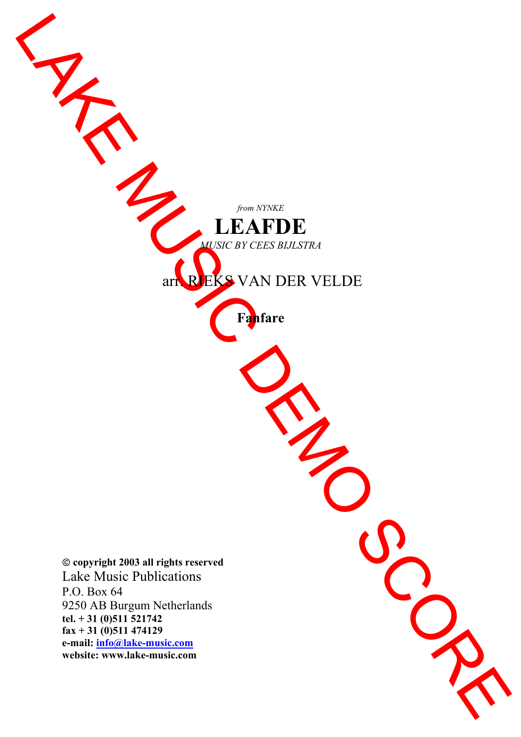ARCHITECTURE CONTROLLER VELLE *from NYNKE*  **LEAFDE**  *MUSIC BY CEES BIJLSTRA*  arr. REKS VAN DER VELDE **Fanfare copyright 2003 all rights reserved**  Lake Music Publications P.O. Box 64 9250 AB Burgum Netherlands **tel. + 31 (0)511 521742 fax + 31 (0)511 474129 e-mail: info@lake-music.com website: www.lake-music.com**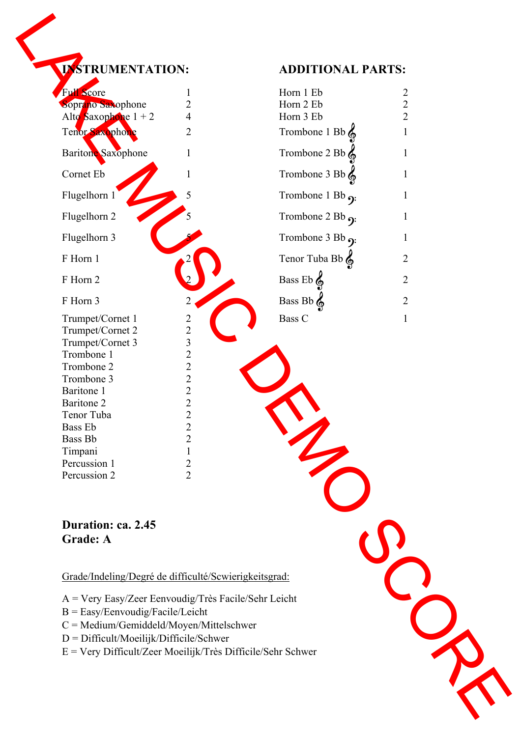

Grade/Indeling/Degré de difficulté/Scwierigkeitsgrad:

- A = Very Easy/Zeer Eenvoudig/Très Facile/Sehr Leicht
- B = Easy/Eenvoudig/Facile/Leicht
- C = Medium/Gemiddeld/Moyen/Mittelschwer
- D = Difficult/Moeilijk/Difficile/Schwer
- E = Very Difficult/Zeer Moeilijk/Très Difficile/Sehr Schwer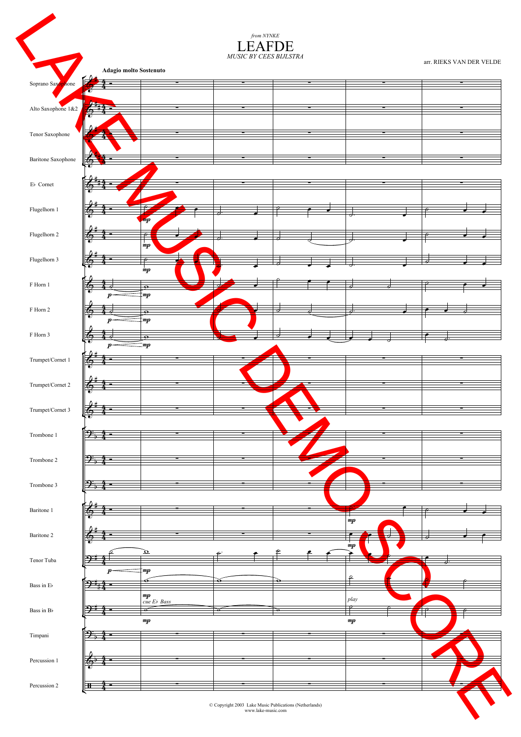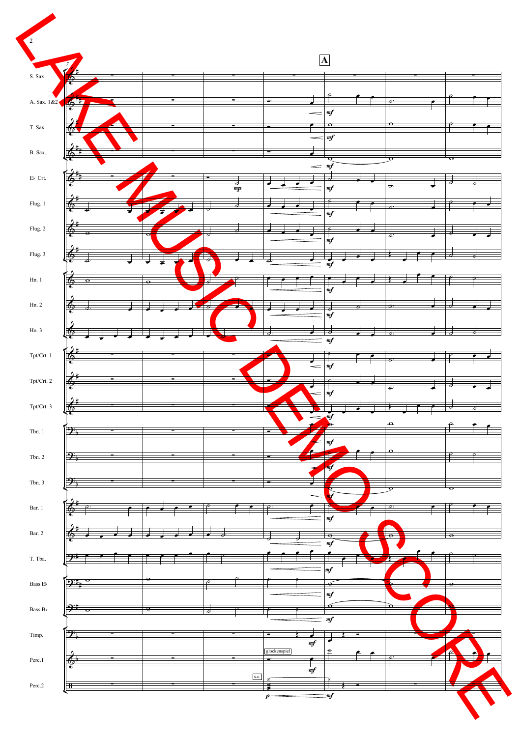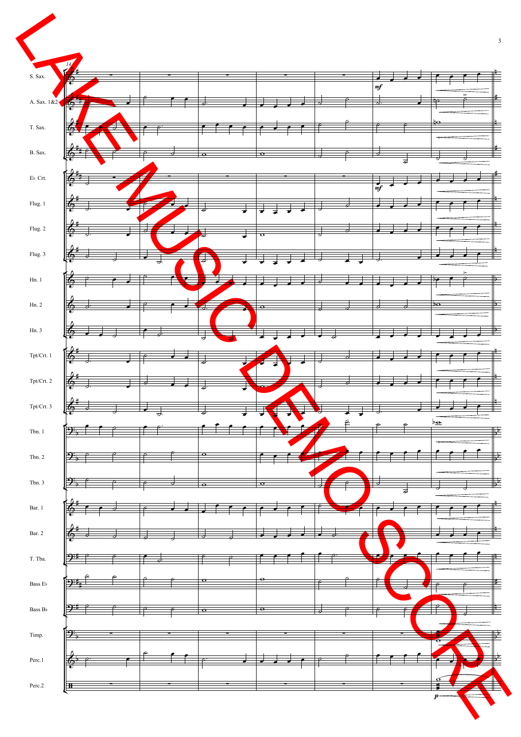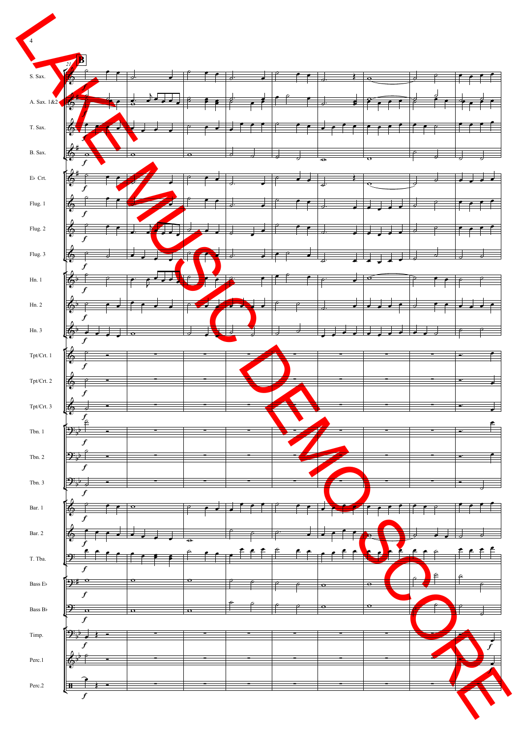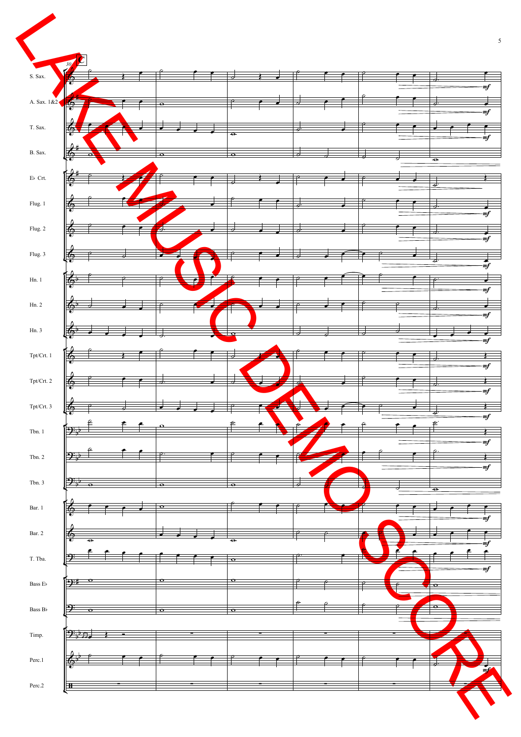